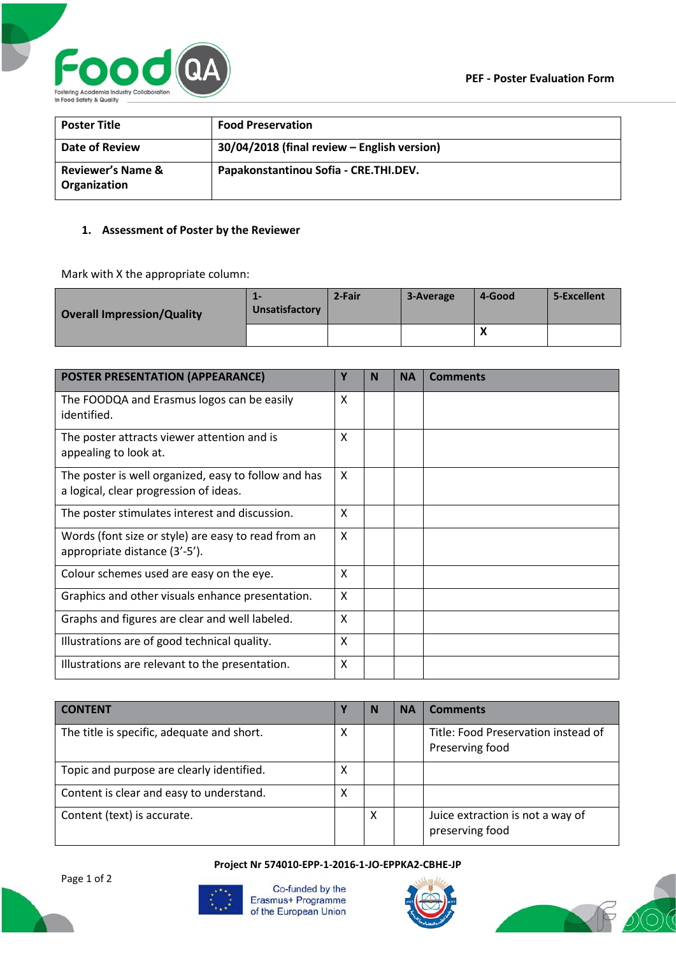

| <b>Poster Title</b>                          | <b>Food Preservation</b>                    |
|----------------------------------------------|---------------------------------------------|
| Date of Review                               | 30/04/2018 (final review - English version) |
| <b>Reviewer's Name &amp;</b><br>Organization | Papakonstantinou Sofia - CRE.THI.DEV.       |

# **1. Assessment of Poster by the Reviewer**

Mark with X the appropriate column:

| <b>Overall Impression/Quality</b> | --<br>Unsatisfactory | 2-Fair | 3-Average | 4-Good    | 5-Excellent |
|-----------------------------------|----------------------|--------|-----------|-----------|-------------|
|                                   |                      |        |           | $\lambda$ |             |

| <b>POSTER PRESENTATION (APPEARANCE)</b>                                                        | Υ | N | <b>NA</b> | <b>Comments</b> |
|------------------------------------------------------------------------------------------------|---|---|-----------|-----------------|
| The FOODQA and Erasmus logos can be easily<br>identified.                                      | X |   |           |                 |
| The poster attracts viewer attention and is<br>appealing to look at.                           | X |   |           |                 |
| The poster is well organized, easy to follow and has<br>a logical, clear progression of ideas. | X |   |           |                 |
| The poster stimulates interest and discussion.                                                 | X |   |           |                 |
| Words (font size or style) are easy to read from an<br>appropriate distance (3'-5').           | X |   |           |                 |
| Colour schemes used are easy on the eye.                                                       | X |   |           |                 |
| Graphics and other visuals enhance presentation.                                               | X |   |           |                 |
| Graphs and figures are clear and well labeled.                                                 | X |   |           |                 |
| Illustrations are of good technical quality.                                                   | X |   |           |                 |
| Illustrations are relevant to the presentation.                                                | X |   |           |                 |

| <b>CONTENT</b>                             |   | N | <b>NA</b> | <b>Comments</b>                                        |
|--------------------------------------------|---|---|-----------|--------------------------------------------------------|
| The title is specific, adequate and short. | х |   |           | Title: Food Preservation instead of<br>Preserving food |
| Topic and purpose are clearly identified.  | х |   |           |                                                        |
| Content is clear and easy to understand.   | х |   |           |                                                        |
| Content (text) is accurate.                |   | х |           | Juice extraction is not a way of<br>preserving food    |

**Project Nr 574010-EPP-1-2016-1-JO-EPPKA2-CBHE-JP**



Co-funded by the Erasmus+ Programme of the European Union